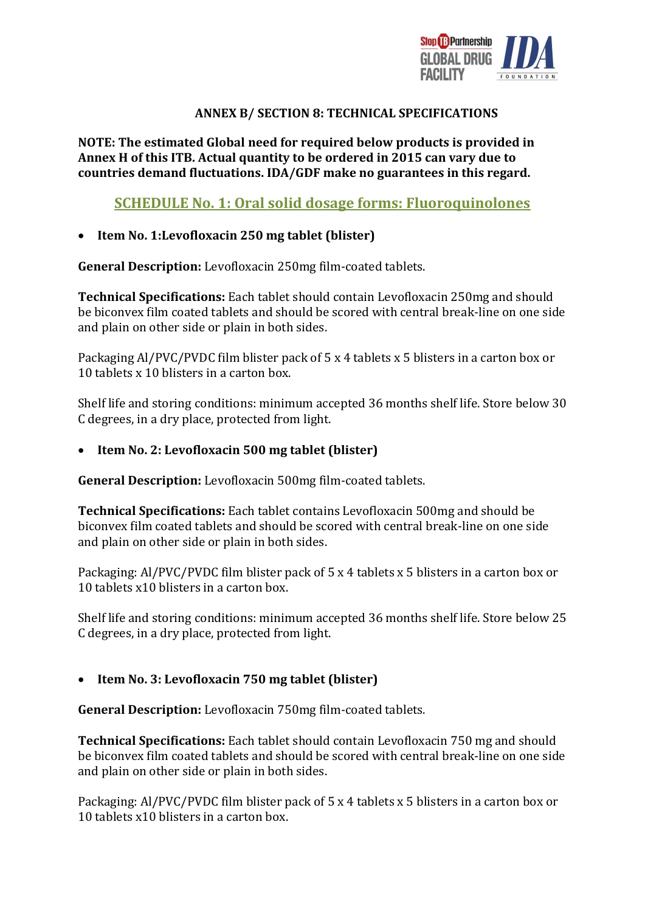

#### **ANNEX B/ SECTION 8: TECHNICAL SPECIFICATIONS**

**NOTE: The estimated Global need for required below products is provided in Annex H of this ITB. Actual quantity to be ordered in 2015 can vary due to countries demand fluctuations. IDA/GDF make no guarantees in this regard.**

# **SCHEDULE No. 1: Oral solid dosage forms: Fluoroquinolones**

#### **Item No. 1:Levofloxacin 250 mg tablet (blister)**

**General Description:** Levofloxacin 250mg film-coated tablets.

**Technical Specifications:** Each tablet should contain Levofloxacin 250mg and should be biconvex film coated tablets and should be scored with central break-line on one side and plain on other side or plain in both sides.

Packaging Al/PVC/PVDC film blister pack of 5 x 4 tablets x 5 blisters in a carton box or 10 tablets x 10 blisters in a carton box.

Shelf life and storing conditions: minimum accepted 36 months shelf life. Store below 30 C degrees, in a dry place, protected from light.

#### **Item No. 2: Levofloxacin 500 mg tablet (blister)**

**General Description:** Levofloxacin 500mg film-coated tablets.

**Technical Specifications:** Each tablet contains Levofloxacin 500mg and should be biconvex film coated tablets and should be scored with central break-line on one side and plain on other side or plain in both sides.

Packaging: Al/PVC/PVDC film blister pack of 5 x 4 tablets x 5 blisters in a carton box or 10 tablets x10 blisters in a carton box.

Shelf life and storing conditions: minimum accepted 36 months shelf life. Store below 25 C degrees, in a dry place, protected from light.

## **Item No. 3: Levofloxacin 750 mg tablet (blister)**

**General Description:** Levofloxacin 750mg film-coated tablets.

**Technical Specifications:** Each tablet should contain Levofloxacin 750 mg and should be biconvex film coated tablets and should be scored with central break-line on one side and plain on other side or plain in both sides.

Packaging: Al/PVC/PVDC film blister pack of 5 x 4 tablets x 5 blisters in a carton box or 10 tablets x10 blisters in a carton box.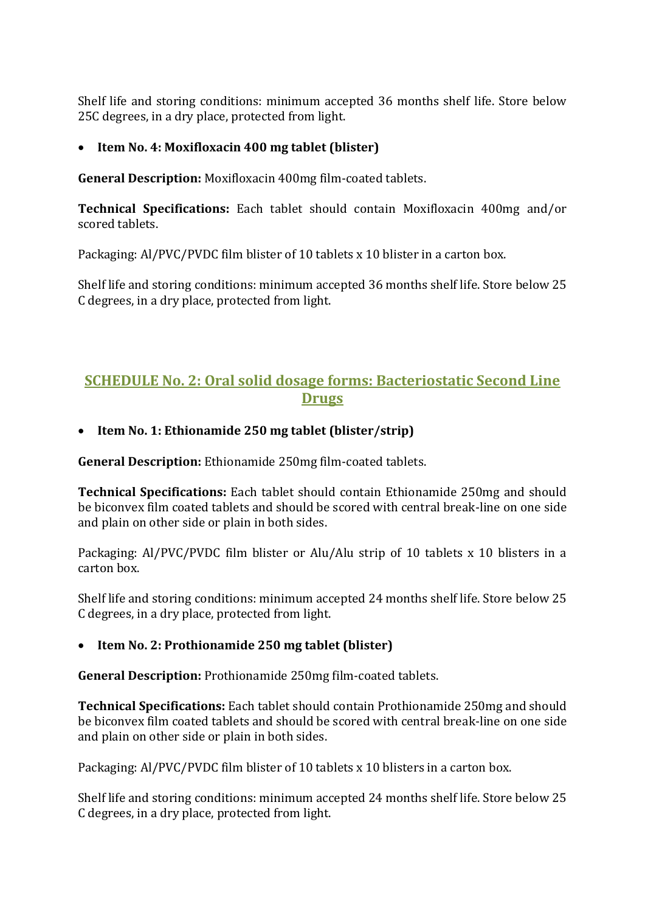Shelf life and storing conditions: minimum accepted 36 months shelf life. Store below 25C degrees, in a dry place, protected from light.

## **Item No. 4: Moxifloxacin 400 mg tablet (blister)**

**General Description:** Moxifloxacin 400mg film-coated tablets.

**Technical Specifications:** Each tablet should contain Moxifloxacin 400mg and/or scored tablets.

Packaging: Al/PVC/PVDC film blister of 10 tablets x 10 blister in a carton box.

Shelf life and storing conditions: minimum accepted 36 months shelf life. Store below 25 C degrees, in a dry place, protected from light.

# **SCHEDULE No. 2: Oral solid dosage forms: Bacteriostatic Second Line Drugs**

**Item No. 1: Ethionamide 250 mg tablet (blister/strip)** 

**General Description:** Ethionamide 250mg film-coated tablets.

**Technical Specifications:** Each tablet should contain Ethionamide 250mg and should be biconvex film coated tablets and should be scored with central break-line on one side and plain on other side or plain in both sides.

Packaging: Al/PVC/PVDC film blister or Alu/Alu strip of 10 tablets x 10 blisters in a carton box.

Shelf life and storing conditions: minimum accepted 24 months shelf life. Store below 25 C degrees, in a dry place, protected from light.

## **Item No. 2: Prothionamide 250 mg tablet (blister)**

**General Description:** Prothionamide 250mg film-coated tablets.

**Technical Specifications:** Each tablet should contain Prothionamide 250mg and should be biconvex film coated tablets and should be scored with central break-line on one side and plain on other side or plain in both sides.

Packaging: Al/PVC/PVDC film blister of 10 tablets x 10 blisters in a carton box.

Shelf life and storing conditions: minimum accepted 24 months shelf life. Store below 25 C degrees, in a dry place, protected from light.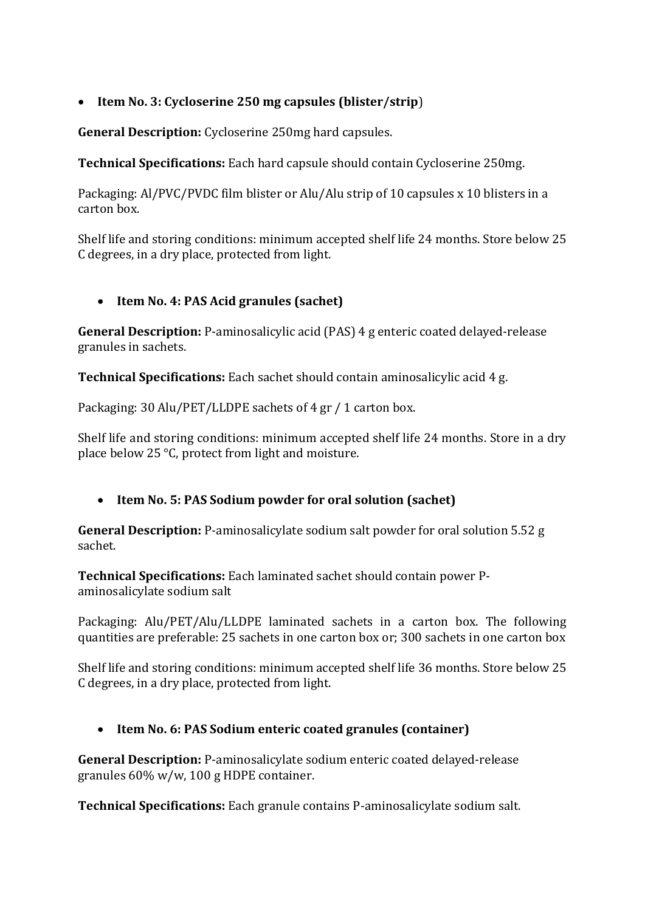## **Item No. 3: Cycloserine 250 mg capsules (blister/strip**)

**General Description:** Cycloserine 250mg hard capsules.

**Technical Specifications:** Each hard capsule should contain Cycloserine 250mg.

Packaging: Al/PVC/PVDC film blister or Alu/Alu strip of 10 capsules x 10 blisters in a carton box.

Shelf life and storing conditions: minimum accepted shelf life 24 months. Store below 25 C degrees, in a dry place, protected from light.

#### **Item No. 4: PAS Acid granules (sachet)**

**General Description:** P-aminosalicylic acid (PAS) 4 g enteric coated delayed-release granules in sachets.

**Technical Specifications:** Each sachet should contain aminosalicylic acid 4 g.

Packaging: 30 Alu/PET/LLDPE sachets of 4 gr / 1 carton box.

Shelf life and storing conditions: minimum accepted shelf life 24 months. Store in a dry place below 25 °C, protect from light and moisture.

## **Item No. 5: PAS Sodium powder for oral solution (sachet)**

**General Description:** P-aminosalicylate sodium salt powder for oral solution 5.52 g sachet.

**Technical Specifications:** Each laminated sachet should contain power Paminosalicylate sodium salt

Packaging: Alu/PET/Alu/LLDPE laminated sachets in a carton box. The following quantities are preferable: 25 sachets in one carton box or; 300 sachets in one carton box

Shelf life and storing conditions: minimum accepted shelf life 36 months. Store below 25 C degrees, in a dry place, protected from light.

## **Item No. 6: PAS Sodium enteric coated granules (container)**

**General Description:** P-aminosalicylate sodium enteric coated delayed-release granules 60% w/w, 100 g HDPE container.

**Technical Specifications:** Each granule contains P-aminosalicylate sodium salt.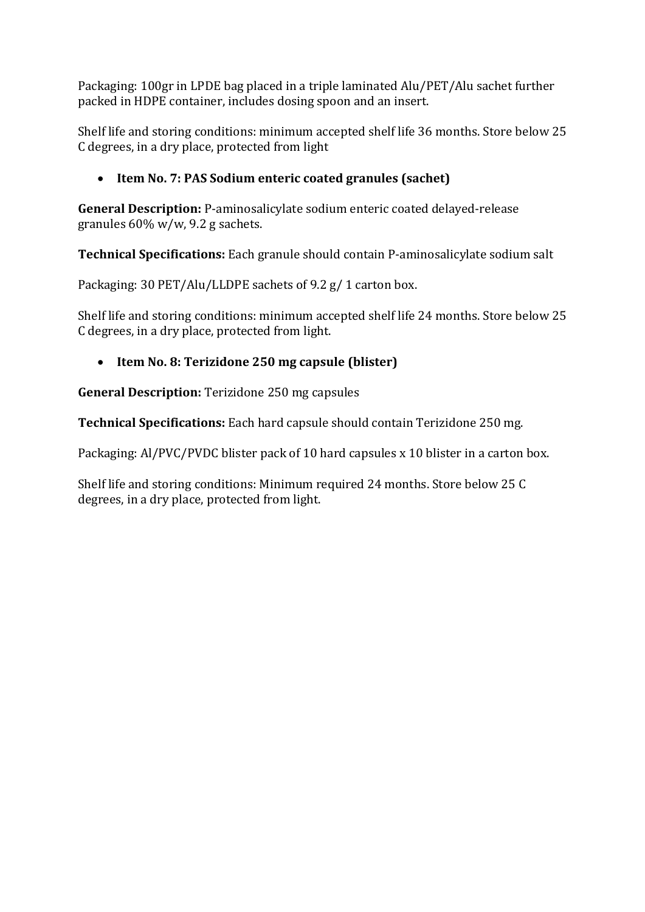Packaging: 100gr in LPDE bag placed in a triple laminated Alu/PET/Alu sachet further packed in HDPE container, includes dosing spoon and an insert.

Shelf life and storing conditions: minimum accepted shelf life 36 months. Store below 25 C degrees, in a dry place, protected from light

# **Item No. 7: PAS Sodium enteric coated granules (sachet)**

**General Description:** P-aminosalicylate sodium enteric coated delayed-release granules 60% w/w, 9.2 g sachets.

**Technical Specifications:** Each granule should contain P-aminosalicylate sodium salt

Packaging: 30 PET/Alu/LLDPE sachets of 9.2 g/ 1 carton box.

Shelf life and storing conditions: minimum accepted shelf life 24 months. Store below 25 C degrees, in a dry place, protected from light.

# **Item No. 8: Terizidone 250 mg capsule (blister)**

**General Description:** Terizidone 250 mg capsules

**Technical Specifications:** Each hard capsule should contain Terizidone 250 mg.

Packaging: Al/PVC/PVDC blister pack of 10 hard capsules x 10 blister in a carton box.

Shelf life and storing conditions: Minimum required 24 months. Store below 25 C degrees, in a dry place, protected from light.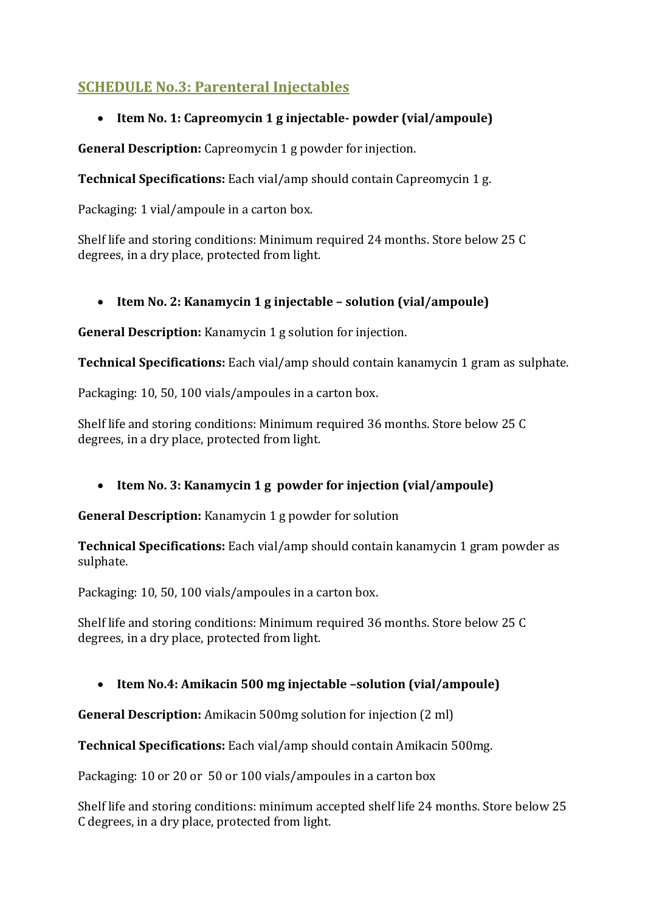# **SCHEDULE No.3: Parenteral Injectables**

# **Item No. 1: Capreomycin 1 g injectable- powder (vial/ampoule)**

**General Description:** Capreomycin 1 g powder for injection.

**Technical Specifications:** Each vial/amp should contain Capreomycin 1 g.

Packaging: 1 vial/ampoule in a carton box.

Shelf life and storing conditions: Minimum required 24 months. Store below 25 C degrees, in a dry place, protected from light.

## **Item No. 2: Kanamycin 1 g injectable – solution (vial/ampoule)**

**General Description:** Kanamycin 1 g solution for injection.

**Technical Specifications:** Each vial/amp should contain kanamycin 1 gram as sulphate.

Packaging: 10, 50, 100 vials/ampoules in a carton box.

Shelf life and storing conditions: Minimum required 36 months. Store below 25 C degrees, in a dry place, protected from light.

## **Item No. 3: Kanamycin 1 g powder for injection (vial/ampoule)**

**General Description:** Kanamycin 1 g powder for solution

**Technical Specifications:** Each vial/amp should contain kanamycin 1 gram powder as sulphate.

Packaging: 10, 50, 100 vials/ampoules in a carton box.

Shelf life and storing conditions: Minimum required 36 months. Store below 25 C degrees, in a dry place, protected from light.

## **Item No.4: Amikacin 500 mg injectable –solution (vial/ampoule)**

**General Description:** Amikacin 500mg solution for injection (2 ml)

**Technical Specifications:** Each vial/amp should contain Amikacin 500mg.

Packaging: 10 or 20 or 50 or 100 vials/ampoules in a carton box

Shelf life and storing conditions: minimum accepted shelf life 24 months. Store below 25 C degrees, in a dry place, protected from light.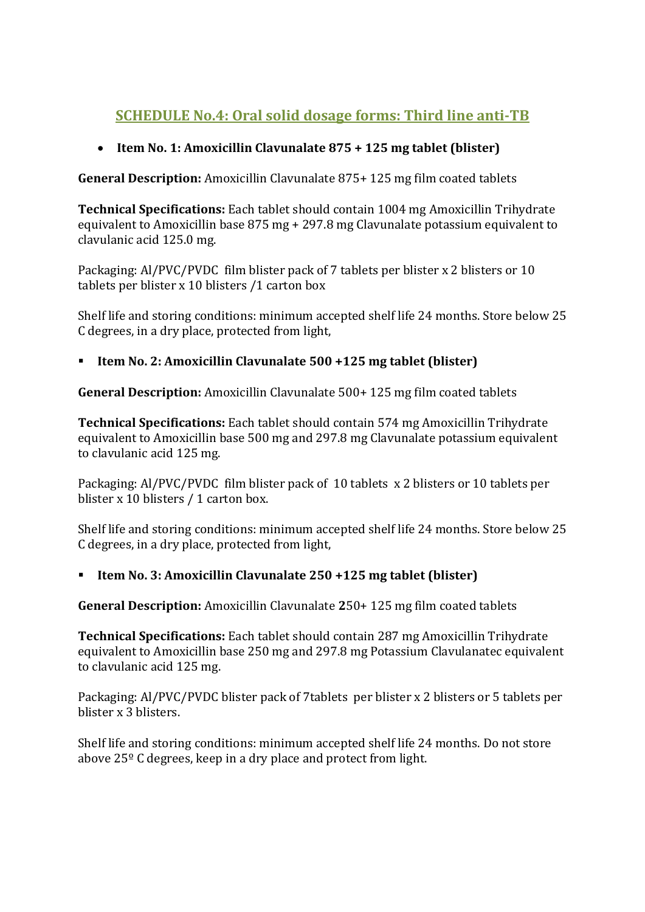# **SCHEDULE No.4: Oral solid dosage forms: Third line anti-TB**

## **Item No. 1: Amoxicillin Clavunalate 875 + 125 mg tablet (blister)**

**General Description:** Amoxicillin Clavunalate 875+ 125 mg film coated tablets

**Technical Specifications:** Each tablet should contain 1004 mg Amoxicillin Trihydrate equivalent to Amoxicillin base 875 mg + 297.8 mg Clavunalate potassium equivalent to clavulanic acid 125.0 mg.

Packaging: Al/PVC/PVDC film blister pack of 7 tablets per blister x 2 blisters or 10 tablets per blister x 10 blisters /1 carton box

Shelf life and storing conditions: minimum accepted shelf life 24 months. Store below 25 C degrees, in a dry place, protected from light,

## **Item No. 2: Amoxicillin Clavunalate 500 +125 mg tablet (blister)**

**General Description:** Amoxicillin Clavunalate 500+ 125 mg film coated tablets

**Technical Specifications:** Each tablet should contain 574 mg Amoxicillin Trihydrate equivalent to Amoxicillin base 500 mg and 297.8 mg Clavunalate potassium equivalent to clavulanic acid 125 mg.

Packaging: Al/PVC/PVDC film blister pack of 10 tablets x 2 blisters or 10 tablets per blister x 10 blisters / 1 carton box.

Shelf life and storing conditions: minimum accepted shelf life 24 months. Store below 25 C degrees, in a dry place, protected from light,

## **Item No. 3: Amoxicillin Clavunalate 250 +125 mg tablet (blister)**

**General Description:** Amoxicillin Clavunalate **2**50+ 125 mg film coated tablets

**Technical Specifications:** Each tablet should contain 287 mg Amoxicillin Trihydrate equivalent to Amoxicillin base 250 mg and 297.8 mg Potassium Clavulanatec equivalent to clavulanic acid 125 mg.

Packaging: Al/PVC/PVDC blister pack of 7tablets per blister x 2 blisters or 5 tablets per blister x 3 blisters.

Shelf life and storing conditions: minimum accepted shelf life 24 months. Do not store above 25º C degrees, keep in a dry place and protect from light.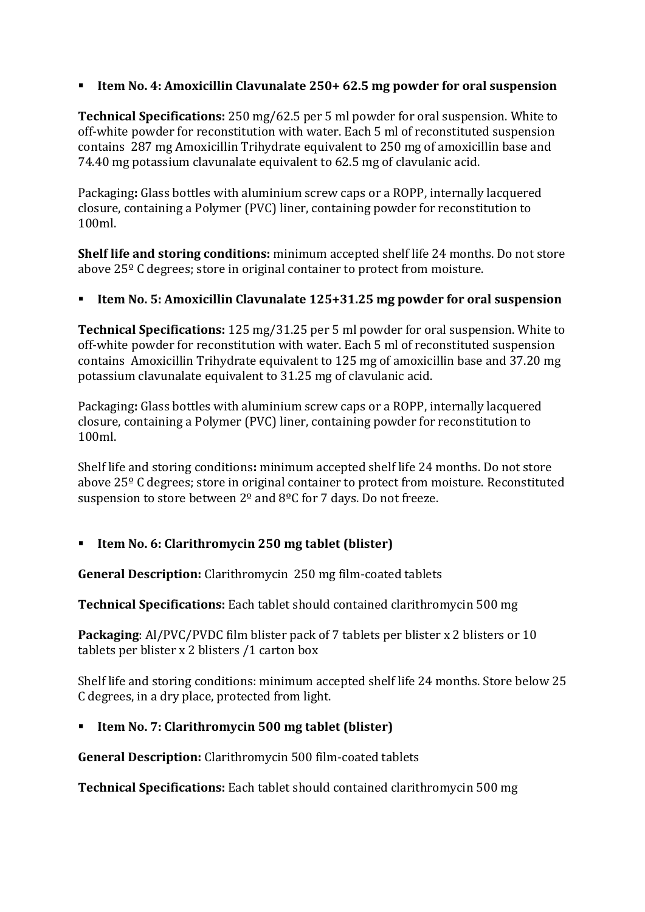## **Item No. 4: Amoxicillin Clavunalate 250+ 62.5 mg powder for oral suspension**

**Technical Specifications:** 250 mg/62.5 per 5 ml powder for oral suspension. White to off-white powder for reconstitution with water. Each 5 ml of reconstituted suspension contains 287 mg Amoxicillin Trihydrate equivalent to 250 mg of amoxicillin base and 74.40 mg potassium clavunalate equivalent to 62.5 mg of clavulanic acid.

Packaging**:** Glass bottles with aluminium screw caps or a ROPP, internally lacquered closure, containing a Polymer (PVC) liner, containing powder for reconstitution to 100ml.

**Shelf life and storing conditions:** minimum accepted shelf life 24 months. Do not store above 25º C degrees; store in original container to protect from moisture.

#### **Item No. 5: Amoxicillin Clavunalate 125+31.25 mg powder for oral suspension**

**Technical Specifications:** 125 mg/31.25 per 5 ml powder for oral suspension. White to off-white powder for reconstitution with water. Each 5 ml of reconstituted suspension contains Amoxicillin Trihydrate equivalent to 125 mg of amoxicillin base and 37.20 mg potassium clavunalate equivalent to 31.25 mg of clavulanic acid.

Packaging**:** Glass bottles with aluminium screw caps or a ROPP, internally lacquered closure, containing a Polymer (PVC) liner, containing powder for reconstitution to 100ml.

Shelf life and storing conditions**:** minimum accepted shelf life 24 months. Do not store above 25º C degrees; store in original container to protect from moisture. Reconstituted suspension to store between 2<sup>o</sup> and 8<sup>o</sup>C for 7 days. Do not freeze.

## **Item No. 6: Clarithromycin 250 mg tablet (blister)**

**General Description:** Clarithromycin 250 mg film-coated tablets

**Technical Specifications:** Each tablet should contained clarithromycin 500 mg

**Packaging**: Al/PVC/PVDC film blister pack of 7 tablets per blister x 2 blisters or 10 tablets per blister x 2 blisters /1 carton box

Shelf life and storing conditions: minimum accepted shelf life 24 months. Store below 25 C degrees, in a dry place, protected from light.

## **Item No. 7: Clarithromycin 500 mg tablet (blister)**

**General Description:** Clarithromycin 500 film-coated tablets

**Technical Specifications:** Each tablet should contained clarithromycin 500 mg